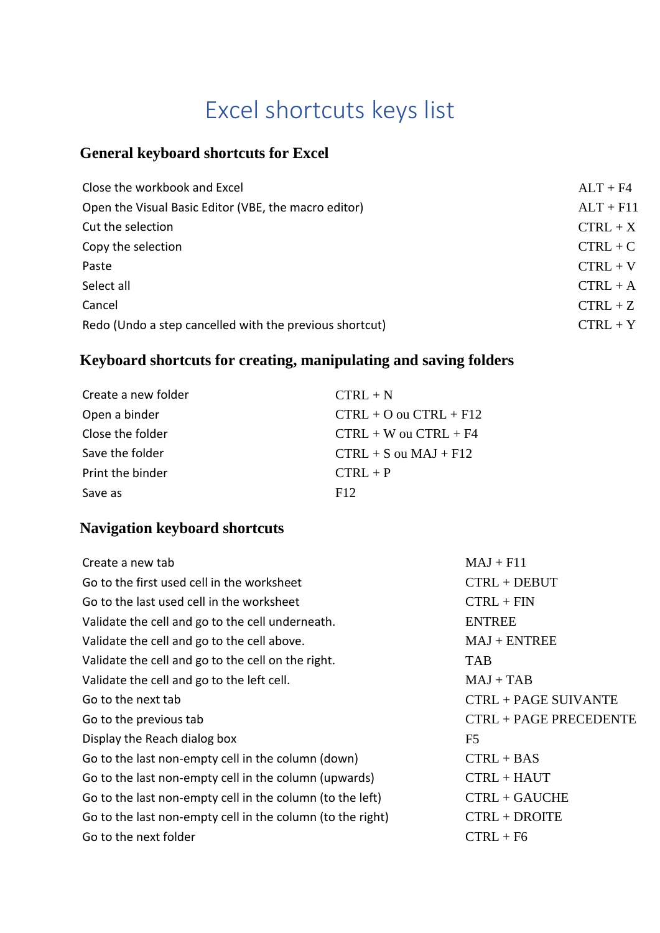# Excel shortcuts keys list

#### **General keyboard shortcuts for Excel**

| $ALT + F4$  |
|-------------|
| $ALT + F11$ |
| $CTRL + X$  |
| $CTRL + C$  |
| $CTRL + V$  |
| $CTRL + A$  |
| $CTRL + Z$  |
| $CTRL + Y$  |
|             |

# **Keyboard shortcuts for creating, manipulating and saving folders**

| Create a new folder | $CTRL + N$                 |
|---------------------|----------------------------|
| Open a binder       | $CTRL + O$ ou $CTRL + F12$ |
| Close the folder    | $CTRL + W$ ou $CTRL + F4$  |
| Save the folder     | $CTRL + S$ ou $MAJ + F12$  |
| Print the binder    | $CTRI + P$                 |
| Save as             | F12                        |

#### **Navigation keyboard shortcuts**

| Create a new tab                                           | $MAJ + F11$                 |
|------------------------------------------------------------|-----------------------------|
| Go to the first used cell in the worksheet                 | $CTRL + DEBUT$              |
| Go to the last used cell in the worksheet                  | $CTRL + FIN$                |
| Validate the cell and go to the cell underneath.           | <b>ENTREE</b>               |
| Validate the cell and go to the cell above.                | $MAJ + ENTREE$              |
| Validate the cell and go to the cell on the right.         | <b>TAB</b>                  |
| Validate the cell and go to the left cell.                 | $MAJ + TAB$                 |
| Go to the next tab                                         | <b>CTRL + PAGE SUIVANTE</b> |
| Go to the previous tab                                     | CTRL + PAGE PRECEDENTE      |
| Display the Reach dialog box                               | F <sub>5</sub>              |
| Go to the last non-empty cell in the column (down)         | $CTRL + BAS$                |
| Go to the last non-empty cell in the column (upwards)      | CTRL + HAUT                 |
| Go to the last non-empty cell in the column (to the left)  | CTRL + GAUCHE               |
| Go to the last non-empty cell in the column (to the right) | CTRL + DROITE               |
| Go to the next folder                                      | $CTRL + F6$                 |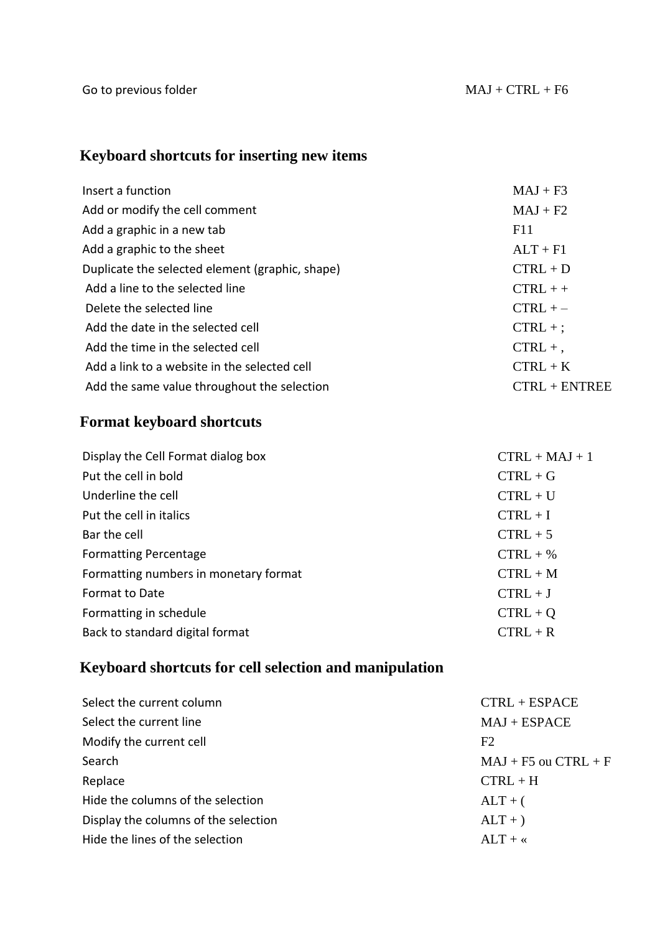# **Keyboard shortcuts for inserting new items**

| Insert a function                               | $MAJ + F3$      |
|-------------------------------------------------|-----------------|
| Add or modify the cell comment                  | $MAJ + F2$      |
| Add a graphic in a new tab                      | F11             |
| Add a graphic to the sheet                      | $ALT + F1$      |
| Duplicate the selected element (graphic, shape) | $CTRL + D$      |
| Add a line to the selected line                 | $CTRL + +$      |
| Delete the selected line                        | $CTRL + -$      |
| Add the date in the selected cell               | $CTRL +$ ;      |
| Add the time in the selected cell               | $CTRL +$ ,      |
| Add a link to a website in the selected cell    | $CTRL + K$      |
| Add the same value throughout the selection     | $CTRL + ENTREE$ |

### **Format keyboard shortcuts**

| Display the Cell Format dialog box    | $CTRL + MAJ + 1$ |
|---------------------------------------|------------------|
| Put the cell in bold                  | $CTRL + G$       |
| Underline the cell                    | $CTRL + U$       |
| Put the cell in italics               | $CTRL + I$       |
| Bar the cell                          | $CTRL + 5$       |
| <b>Formatting Percentage</b>          | $CTRL + %$       |
| Formatting numbers in monetary format | $CTRL + M$       |
| <b>Format to Date</b>                 | $CTRL + J$       |
| Formatting in schedule                | $CTRL + Q$       |
| Back to standard digital format       | $CTRL + R$       |
|                                       |                  |

# **Keyboard shortcuts for cell selection and manipulation**

| Select the current column            | $CTRL + ESPACE$          |
|--------------------------------------|--------------------------|
| Select the current line              | $MAJ + ESPACE$           |
| Modify the current cell              | F2                       |
| Search                               | $MAJ + F5$ ou $CTRL + F$ |
| Replace                              | $CTRL + H$               |
| Hide the columns of the selection    | $ALT + ($                |
| Display the columns of the selection | $ALT + )$                |
| Hide the lines of the selection      | $ALT + \kappa$           |
|                                      |                          |